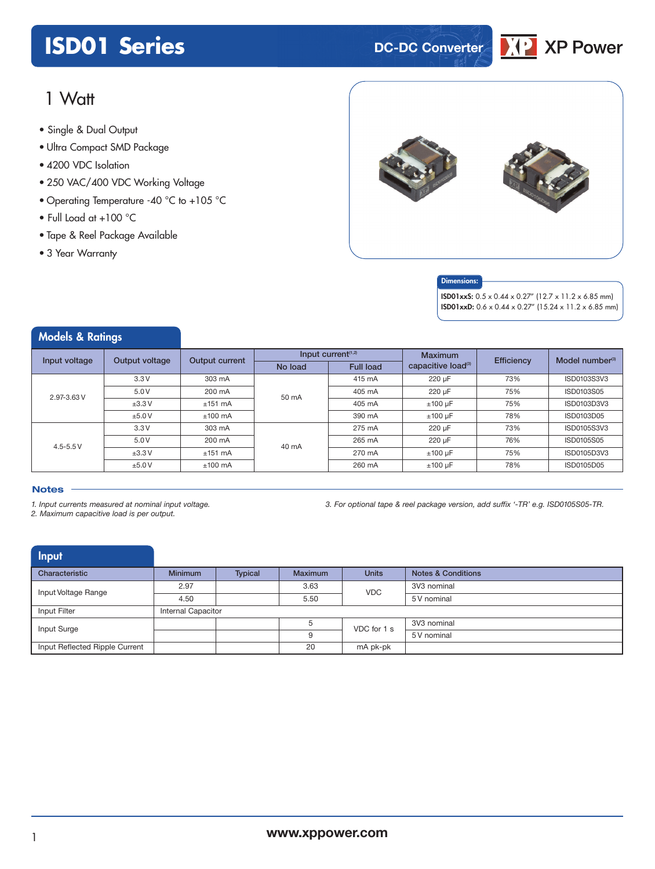## **ISD01 Series DC-DC** Converter



## 1 Watt

- **xxx Series** Single & Dual Output
- Ultra Compact SMD Package
- 4200 VDC Isolation
- 250 VAC/400 VDC Working Voltage
- Operating Temperature -40 °C to +105 °C
- Full Load at +100 °C
- Tape & Reel Package Available
- 3 Year Warranty



### Dimensions:

**ISD01xxS:**  $0.5 \times 0.44 \times 0.27$ " (12.7 x 11.2 x 6.85 mm) ISD01xxD: 0.6 x 0.44 x 0.27" (15.24 x 11.2 x 6.85 mm)

### Models & Ratings

| Input voltage | Output voltage | Output current |         | Input current <sup>(1,2)</sup> | Maximum                        | Efficiency | Model number <sup>(3)</sup> |
|---------------|----------------|----------------|---------|--------------------------------|--------------------------------|------------|-----------------------------|
|               |                |                | No load | <b>Full load</b>               | capacitive load <sup>(3)</sup> |            |                             |
|               | 3.3V           | 303 mA         |         | 415 mA                         | 220 µF                         | 73%        | ISD0103S3V3                 |
| 2.97-3.63 V   | 5.0V           | 200 mA         | 50 mA   | 405 mA                         | 220 µF                         | 75%        | ISD0103S05                  |
|               | $\pm 3.3$ V    | $±151$ mA      |         | 405 mA                         | $±100 \mu F$                   | 75%        | ISD0103D3V3                 |
|               | ±5.0V          | $±100$ mA      |         | 390 mA                         | $±100 \mu F$                   | 78%        | ISD0103D05                  |
|               | 3.3V           | 303 mA         | 40 mA   | 275 mA                         | 220 µF                         | 73%        | ISD0105S3V3                 |
| $4.5 - 5.5 V$ | 5.0V           | 200 mA         |         | 265 mA                         | 220 µF                         | 76%        | ISD0105S05                  |
|               | ±3.3V          | $±151$ mA      |         | 270 mA                         | $±100 \mu F$                   | 75%        | ISD0105D3V3                 |
|               | ±5.0V          | $±100$ mA      |         | 260 mA                         | $±100 \mu F$                   | 78%        | ISD0105D05                  |
|               |                |                |         |                                |                                |            |                             |

### **Notes**

*1. Input currents measured at nominal input voltage.*

*2. Maximum capacitive load is per output.*

*3. For optional tape & reel package version, add suffix '-TR' e.g. ISD0105S05-TR.*

| <b>Input</b>                   |                           |                |                |              |                               |
|--------------------------------|---------------------------|----------------|----------------|--------------|-------------------------------|
| Characteristic                 | <b>Minimum</b>            | <b>Typical</b> | <b>Maximum</b> | <b>Units</b> | <b>Notes &amp; Conditions</b> |
| Input Voltage Range            | 2.97                      |                | 3.63           | <b>VDC</b>   | 3V3 nominal                   |
|                                | 4.50                      |                | 5.50           |              | 5 V nominal                   |
| Input Filter                   | <b>Internal Capacitor</b> |                |                |              |                               |
| Input Surge                    |                           |                |                | VDC for 1 s  | 3V3 nominal                   |
|                                |                           |                | 9              |              | 5 V nominal                   |
| Input Reflected Ripple Current |                           |                | 20             | mA pk-pk     |                               |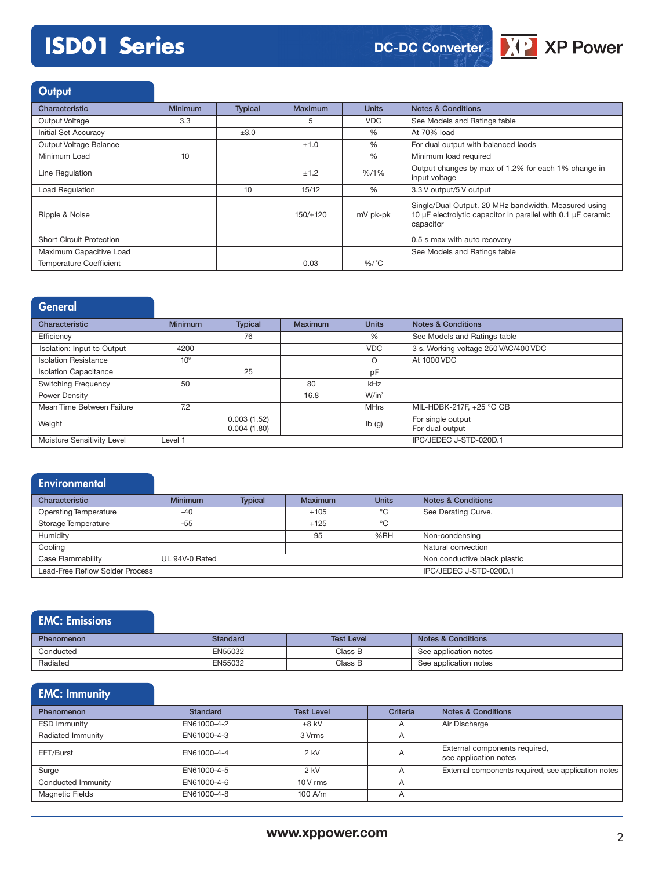## **ISD01 Series**



### **Output**

| Characteristic                  | <b>Minimum</b> | <b>Typical</b> | Maximum       | <b>Units</b> | <b>Notes &amp; Conditions</b>                                                                                                     |
|---------------------------------|----------------|----------------|---------------|--------------|-----------------------------------------------------------------------------------------------------------------------------------|
| Output Voltage                  | 3.3            |                | 5             | <b>VDC</b>   | See Models and Ratings table                                                                                                      |
| Initial Set Accuracy            |                | ±3.0           |               | $\%$         | At 70% load                                                                                                                       |
| Output Voltage Balance          |                |                | ±1.0          | $\%$         | For dual output with balanced laods                                                                                               |
| Minimum Load                    | 10             |                |               | $\%$         | Minimum load required                                                                                                             |
| Line Regulation                 |                |                | ±1.2          | $% / 1\%$    | Output changes by max of 1.2% for each 1% change in<br>input voltage                                                              |
| <b>Load Regulation</b>          |                | 10             | 15/12         | $\%$         | 3.3 V output/5 V output                                                                                                           |
| Ripple & Noise                  |                |                | $150/\pm 120$ | mV pk-pk     | Single/Dual Output. 20 MHz bandwidth. Measured using<br>10 µF electrolytic capacitor in parallel with 0.1 µF ceramic<br>capacitor |
| <b>Short Circuit Protection</b> |                |                |               |              | 0.5 s max with auto recovery                                                                                                      |
| Maximum Capacitive Load         |                |                |               |              | See Models and Ratings table                                                                                                      |
| <b>Temperature Coefficient</b>  |                |                | 0.03          | $%$ /°C      |                                                                                                                                   |

| General                      |                 |                            |                |               |                                      |
|------------------------------|-----------------|----------------------------|----------------|---------------|--------------------------------------|
| Characteristic               | <b>Minimum</b>  | <b>Typical</b>             | <b>Maximum</b> | <b>Units</b>  | <b>Notes &amp; Conditions</b>        |
| Efficiency                   |                 | 76                         |                | $\frac{0}{0}$ | See Models and Ratings table         |
| Isolation: Input to Output   | 4200            |                            |                | <b>VDC</b>    | 3 s. Working voltage 250 VAC/400 VDC |
| <b>Isolation Resistance</b>  | 10 <sup>9</sup> |                            |                | Ω             | At 1000 VDC                          |
| <b>Isolation Capacitance</b> |                 | 25                         |                | pF            |                                      |
| <b>Switching Frequency</b>   | 50              |                            | 80             | kHz           |                                      |
| Power Density                |                 |                            | 16.8           | $W/in^3$      |                                      |
| Mean Time Between Failure    | 7.2             |                            |                | <b>MHrs</b>   | MIL-HDBK-217F, +25 °C GB             |
| Weight                       |                 | 0.003(1.52)<br>0.004(1.80) |                | Ib(g)         | For single output<br>For dual output |
| Moisture Sensitivity Level   | Level 1         |                            |                |               | IPC/JEDEC J-STD-020D.1               |

### **Environmental**

| Characteristic                  | <b>Minimum</b> | <b>Typical</b> | Maximum | <b>Units</b> | <b>Notes &amp; Conditions</b> |
|---------------------------------|----------------|----------------|---------|--------------|-------------------------------|
|                                 |                |                |         |              |                               |
| <b>Operating Temperature</b>    | $-40$          |                | $+105$  | °C           | See Derating Curve.           |
| Storage Temperature             | $-55$          |                | $+125$  | °C           |                               |
| Humidity                        |                |                | 95      | %RH          | Non-condensing                |
| Cooling                         |                |                |         |              | Natural convection            |
| Case Flammability               | UL 94V-0 Rated |                |         |              | Non conductive black plastic  |
| Lead-Free Reflow Solder Process |                |                |         |              | IPC/JEDEC J-STD-020D.1        |

### EMC: Emissions Phenomenon **Standard Standard Test Level Notes & Conditions** Conducted EN55032 Class B See application notes Radiated EN55032 Class B See application notes

## EMC: Immunity

| <b>Phenomenon</b>      | Standard    | <b>Test Level</b> | Criteria       | <b>Notes &amp; Conditions</b>                          |
|------------------------|-------------|-------------------|----------------|--------------------------------------------------------|
| <b>ESD Immunity</b>    | EN61000-4-2 | $+8$ kV           | $\overline{A}$ | Air Discharge                                          |
| Radiated Immunity      | EN61000-4-3 | 3 Vrms            | A              |                                                        |
| EFT/Burst              | EN61000-4-4 | $2$ kV            | A              | External components required,<br>see application notes |
| Surge                  | EN61000-4-5 | $2$ kV            |                | External components required, see application notes    |
| Conducted Immunity     | EN61000-4-6 | $10V$ rms         | A              |                                                        |
| <b>Magnetic Fields</b> | EN61000-4-8 | 100 A/m           | $\overline{A}$ |                                                        |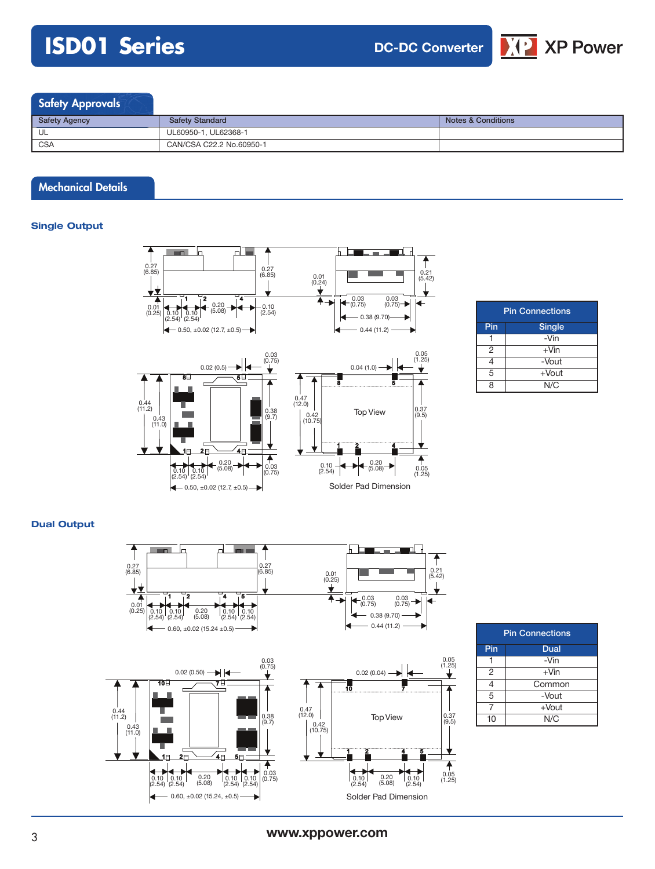# **ISD01 Series**



### Safety Approvals

| <b>Safety Agency</b> | <b>Safety Standard</b>   | <b>Notes &amp; Conditions</b> |
|----------------------|--------------------------|-------------------------------|
| UL                   | UL60950-1, UL62368-1     |                               |
| <sup>'</sup> CSA     | CAN/CSA C22.2 No.60950-1 |                               |

## Mechanical Details

### **Single Output**



| <b>Pin Connections</b> |          |  |  |
|------------------------|----------|--|--|
| Pin                    | Single   |  |  |
|                        | -Vin     |  |  |
| $\overline{2}$         | $+V$ in  |  |  |
|                        | -Vout    |  |  |
| 5                      | $+$ Vout |  |  |
| Q                      | N/C      |  |  |

### **Dual Output**



| <b>Pin Connections</b> |          |  |  |  |
|------------------------|----------|--|--|--|
| Pin<br><b>Dual</b>     |          |  |  |  |
|                        | -Vin     |  |  |  |
| 2                      | $+V$ in  |  |  |  |
| 4                      | Common   |  |  |  |
| 5                      | -Vout    |  |  |  |
| 7                      | $+$ Vout |  |  |  |
| 10                     | N/C      |  |  |  |